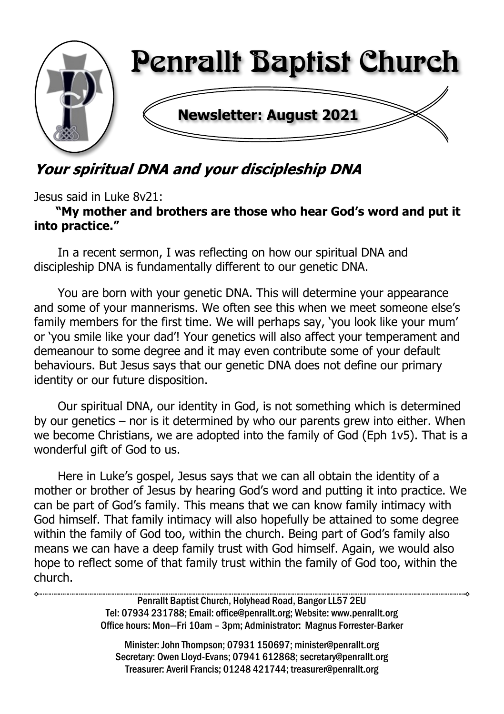

# Your spiritual DNA and your discipleship DNA

Jesus said in Luke 8v21:

#### **"My mother and brothers are those who hear God's word and put it into practice."**

In a recent sermon, I was reflecting on how our spiritual DNA and discipleship DNA is fundamentally different to our genetic DNA.

You are born with your genetic DNA. This will determine your appearance and some of your mannerisms. We often see this when we meet someone else's family members for the first time. We will perhaps say, 'you look like your mum' or 'you smile like your dad'! Your genetics will also affect your temperament and demeanour to some degree and it may even contribute some of your default behaviours. But Jesus says that our genetic DNA does not define our primary identity or our future disposition.

Our spiritual DNA, our identity in God, is not something which is determined by our genetics – nor is it determined by who our parents grew into either. When we become Christians, we are adopted into the family of God (Eph 1v5). That is a wonderful gift of God to us.

Here in Luke's gospel, Jesus says that we can all obtain the identity of a mother or brother of Jesus by hearing God's word and putting it into practice. We can be part of God's family. This means that we can know family intimacy with God himself. That family intimacy will also hopefully be attained to some degree within the family of God too, within the church. Being part of God's family also means we can have a deep family trust with God himself. Again, we would also hope to reflect some of that family trust within the family of God too, within the church.

> Penrallt Baptist Church, Holyhead Road, Bangor LL57 2EU Tel: 07934 231788; Email: office@penrallt.org; Website: www.penrallt.org Office hours: Mon—Fri 10am – 3pm; Administrator: Magnus Forrester-Barker

Minister: John Thompson; 07931 150697; minister@penrallt.org Secretary: Owen Lloyd-Evans; 07941 612868; secretary@penrallt.org Treasurer: Averil Francis; 01248 421744; treasurer@penrallt.org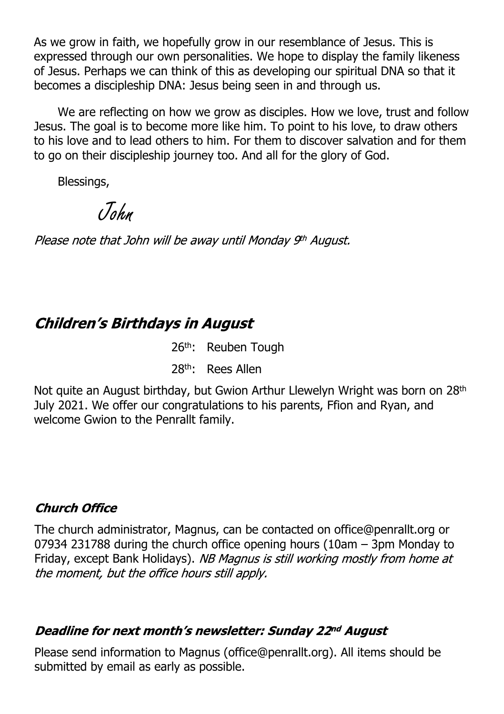As we grow in faith, we hopefully grow in our resemblance of Jesus. This is expressed through our own personalities. We hope to display the family likeness of Jesus. Perhaps we can think of this as developing our spiritual DNA so that it becomes a discipleship DNA: Jesus being seen in and through us.

We are reflecting on how we grow as disciples. How we love, trust and follow Jesus. The goal is to become more like him. To point to his love, to draw others to his love and to lead others to him. For them to discover salvation and for them to go on their discipleship journey too. And all for the glory of God.

Blessings,

John

Please note that John will be away until Monday 9th August.

# **Children's Birthdays in August**

26<sup>th</sup>: Reuben Tough

28th: Rees Allen

Not quite an August birthday, but Gwion Arthur Llewelyn Wright was born on 28<sup>th</sup> July 2021. We offer our congratulations to his parents, Ffion and Ryan, and welcome Gwion to the Penrallt family.

#### **Church Office**

The church administrator, Magnus, can be contacted on office@penrallt.org or 07934 231788 during the church office opening hours (10am – 3pm Monday to Friday, except Bank Holidays). NB Magnus is still working mostly from home at the moment, but the office hours still apply.

#### Deadline for next month's newsletter: Sunday 22nd August

Please send information to Magnus (office@penrallt.org). All items should be submitted by email as early as possible.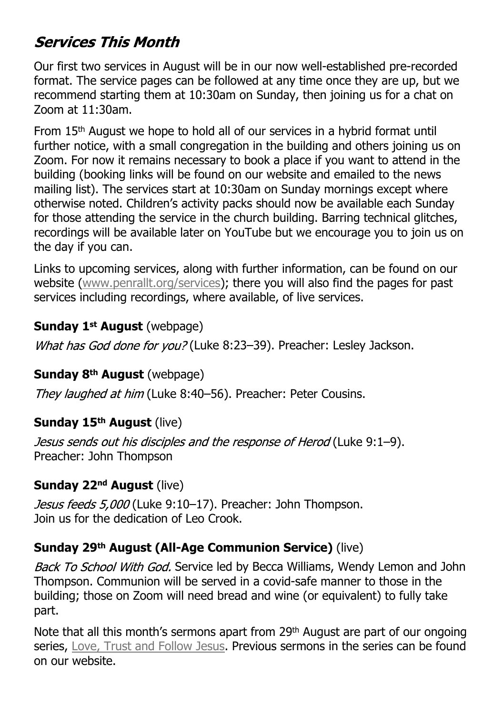# **Services This Month**

Our first two services in August will be in our now well-established pre-recorded format. The service pages can be followed at any time once they are up, but we recommend starting them at 10:30am on Sunday, then joining us for a chat on Zoom at 11:30am.

From 15th August we hope to hold all of our services in a hybrid format until further notice, with a small congregation in the building and others joining us on Zoom. For now it remains necessary to book a place if you want to attend in the building (booking links will be found on our website and emailed to the news mailing list). The services start at 10:30am on Sunday mornings except where otherwise noted. Children's activity packs should now be available each Sunday for those attending the service in the church building. Barring technical glitches, recordings will be available later on YouTube but we encourage you to join us on the day if you can.

Links to upcoming services, along with further information, can be found on our website ([www.penrallt.org/services\)](https://www.penrallt.org/services/index.php); there you will also find the pages for past services including recordings, where available, of live services.

#### **Sunday 1st August** (webpage)

What has God done for you? (Luke 8:23-39). Preacher: Lesley Jackson.

#### **Sunday 8th August** (webpage)

They laughed at him (Luke 8:40–56). Preacher: Peter Cousins.

#### **Sunday 15th August** (live)

Jesus sends out his disciples and the response of Herod (Luke 9:1–9). Preacher: John Thompson

#### **Sunday 22nd August** (live)

Jesus feeds 5,000 (Luke 9:10–17). Preacher: John Thompson. Join us for the dedication of Leo Crook.

#### **Sunday 29th August (All-Age Communion Service)** (live)

Back To School With God. Service led by Becca Williams, Wendy Lemon and John Thompson. Communion will be served in a covid-safe manner to those in the building; those on Zoom will need bread and wine (or equivalent) to fully take part.

Note that all this month's sermons apart from 29<sup>th</sup> August are part of our ongoing series, [Love, Trust and Follow Jesus](https://www.penrallt.org/sermons/series.php?sid=BAC). Previous sermons in the series can be found on our website.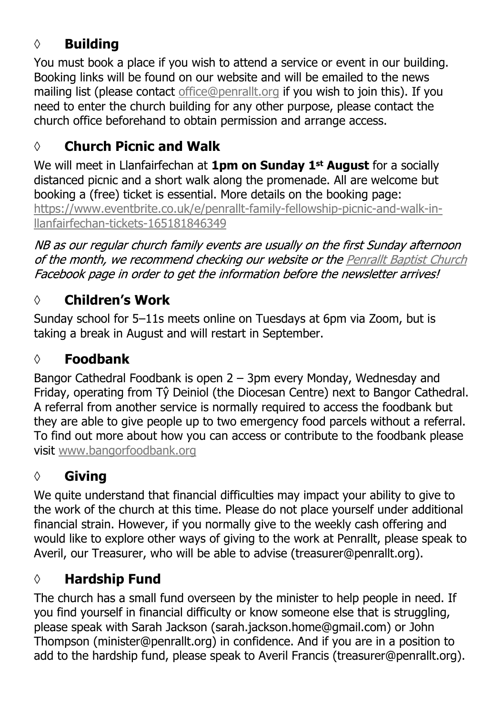# **◊ Building**

You must book a place if you wish to attend a service or event in our building. Booking links will be found on our website and will be emailed to the news mailing list (please contact [office@penrallt.org](mailto:office@penrallt.org) if you wish to join this). If you need to enter the church building for any other purpose, please contact the church office beforehand to obtain permission and arrange access.

# **◊ Church Picnic and Walk**

We will meet in Llanfairfechan at **1pm on Sunday 1st August** for a socially distanced picnic and a short walk along the promenade. All are welcome but booking a (free) ticket is essential. More details on the booking page: [https://www.eventbrite.co.uk/e/penrallt-family-fellowship-picnic-and-walk-in](https://www.eventbrite.co.uk/e/penrallt-beach-picnic-and-all-age-fellowship-fun-tickets-155583280781)[llanfairfechan-tickets-165181846349](https://www.eventbrite.co.uk/e/penrallt-beach-picnic-and-all-age-fellowship-fun-tickets-155583280781)

NB as our regular church family events are usually on the first Sunday afternoon of the month, we recommend checking our website or the Penrallt Baptist Church Facebook page in order to get the information before the newsletter arrives!

# **◊ Children's Work**

Sunday school for 5–11s meets online on Tuesdays at 6pm via Zoom, but is taking a break in August and will restart in September.

## **◊ Foodbank**

Bangor Cathedral Foodbank is open 2 – 3pm every Monday, Wednesday and Friday, operating from Tŷ Deiniol (the Diocesan Centre) next to Bangor Cathedral. A referral from another service is normally required to access the foodbank but they are able to give people up to two emergency food parcels without a referral. To find out more about how you can access or contribute to the foodbank please visit [www.bangorfoodbank.org](https://www.bangorfoodbank.org)

# **◊ Giving**

We quite understand that financial difficulties may impact your ability to give to the work of the church at this time. Please do not place yourself under additional financial strain. However, if you normally give to the weekly cash offering and would like to explore other ways of giving to the work at Penrallt, please speak to Averil, our Treasurer, who will be able to advise (treasurer@penrallt.org).

## **◊ Hardship Fund**

The church has a small fund overseen by the minister to help people in need. If you find yourself in financial difficulty or know someone else that is struggling, please speak with Sarah Jackson (sarah.jackson.home@gmail.com) or John Thompson (minister@penrallt.org) in confidence. And if you are in a position to add to the hardship fund, please speak to Averil Francis (treasurer@penrallt.org).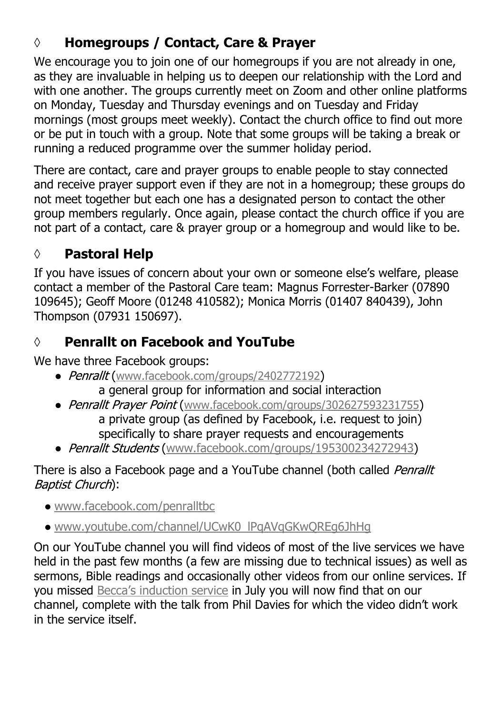# **◊ Homegroups / Contact, Care & Prayer**

We encourage you to join one of our homegroups if you are not already in one, as they are invaluable in helping us to deepen our relationship with the Lord and with one another. The groups currently meet on Zoom and other online platforms on Monday, Tuesday and Thursday evenings and on Tuesday and Friday mornings (most groups meet weekly). Contact the church office to find out more or be put in touch with a group. Note that some groups will be taking a break or running a reduced programme over the summer holiday period.

There are contact, care and prayer groups to enable people to stay connected and receive prayer support even if they are not in a homegroup; these groups do not meet together but each one has a designated person to contact the other group members regularly. Once again, please contact the church office if you are not part of a contact, care & prayer group or a homegroup and would like to be.

# **◊ Pastoral Help**

If you have issues of concern about your own or someone else's welfare, please contact a member of the Pastoral Care team: Magnus Forrester-Barker (07890 109645); Geoff Moore (01248 410582); Monica Morris (01407 840439), John Thompson (07931 150697).

# **◊ Penrallt on Facebook and YouTube**

We have three Facebook groups:

- Penrallt ([www.facebook.com/groups/2402772192](https://www.facebook.com/groups/2402772192)) a general group for information and social interaction
- Penrallt Praver Point ([www.facebook.com/groups/302627593231755](https://www.facebook.com/groups/302627593231755)) a private group (as defined by Facebook, i.e. request to join) specifically to share prayer requests and encouragements
- Penrallt Students ([www.facebook.com/groups/195300234272943\)](https://www.facebook.com/groups/195300234272943)

#### There is also a Facebook page and a YouTube channel (both called Penrallt Baptist Church):

- [www.facebook.com/penralltbc](https://www.facebook.com/penralltbc)
- [www.youtube.com/channel/UCwK0\\_lPqAVqGKwQREg6JhHg](https://www.youtube.com/channel/UCwK0_lPqAVqGKwQREg6JhHg)

On our YouTube channel you will find videos of most of the live services we have held in the past few months (a few are missing due to technical issues) as well as sermons, Bible readings and occasionally other videos from our online services. If you missed [Becca's induction service](https://youtu.be/nW-_TM9TT_4) in July you will now find that on our channel, complete with the talk from Phil Davies for which the video didn't work in the service itself.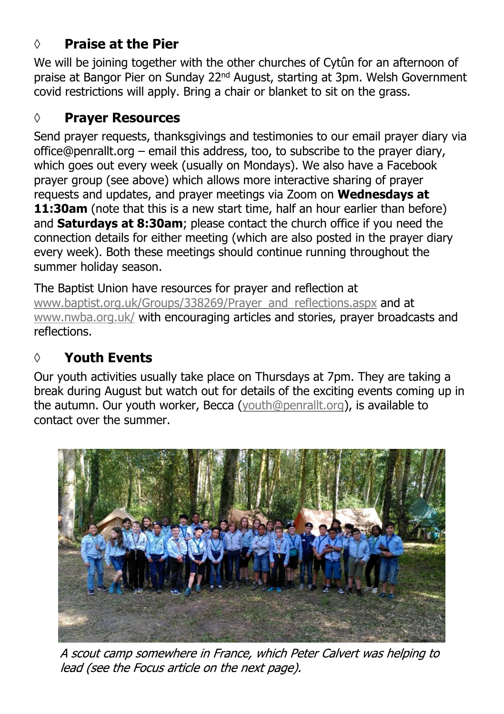### **◊ Praise at the Pier**

We will be joining together with the other churches of Cytûn for an afternoon of praise at Bangor Pier on Sunday 22nd August, starting at 3pm. Welsh Government covid restrictions will apply. Bring a chair or blanket to sit on the grass.

### **◊ Prayer Resources**

Send prayer requests, thanksgivings and testimonies to our email prayer diary via office@penrallt.org – email this address, too, to subscribe to the prayer diary, which goes out every week (usually on Mondays). We also have a Facebook prayer group (see above) which allows more interactive sharing of prayer requests and updates, and prayer meetings via Zoom on **Wednesdays at 11:30am** (note that this is a new start time, half an hour earlier than before) and **Saturdays at 8:30am**; please contact the church office if you need the connection details for either meeting (which are also posted in the prayer diary every week). Both these meetings should continue running throughout the summer holiday season.

The Baptist Union have resources for prayer and reflection at [www.baptist.org.uk/Groups/338269/Prayer\\_and\\_reflections.aspx](https://www.baptist.org.uk/Groups/338269/Prayer_and_reflections.aspx) and at [www.nwba.org.uk/](http://www.nwba.org.uk/) with encouraging articles and stories, prayer broadcasts and reflections.

### **◊ Youth Events**

Our youth activities usually take place on Thursdays at 7pm. They are taking a break during August but watch out for details of the exciting events coming up in the autumn. Our youth worker, Becca ([youth@penrallt.org\)](mailto:youth@penrallt.org), is available to contact over the summer.



A scout camp somewhere in France, which Peter Calvert was helping to lead (see the Focus article on the next page).